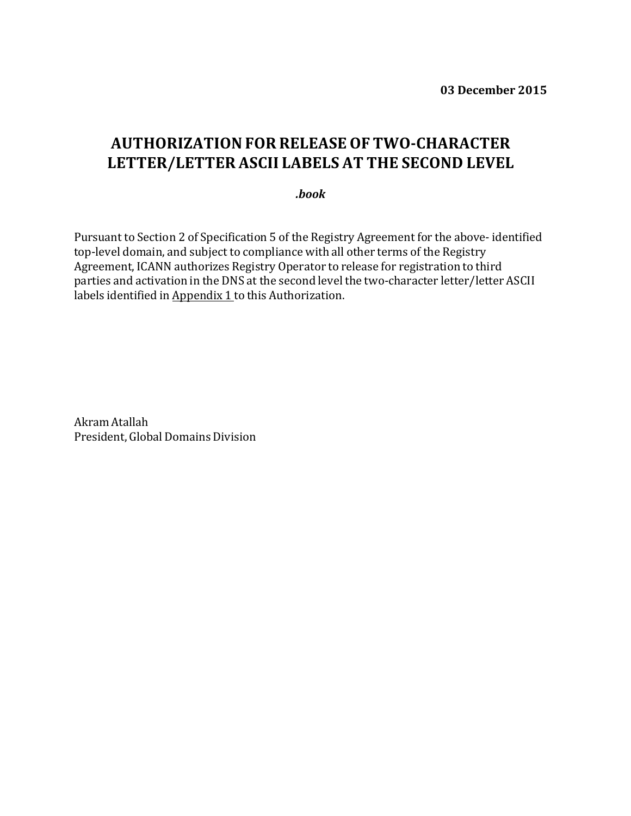**03 December 2015**

## **AUTHORIZATIONFOR RELEASE OF TWO-CHARACTER LETTER/LETTER ASCII LABELS AT THE SECOND LEVEL**

*.book*

Pursuant to Section 2 of Specification 5 of the Registry Agreement for the above- identified top-level domain, and subject to compliance with all other terms of the Registry Agreement, ICANN authorizes Registry Operator to release for registration to third parties and activation in the DNS at the second level the two-character letter/letter ASCII labels identified in Appendix 1 to this Authorization.

Akram Atallah President, Global Domains Division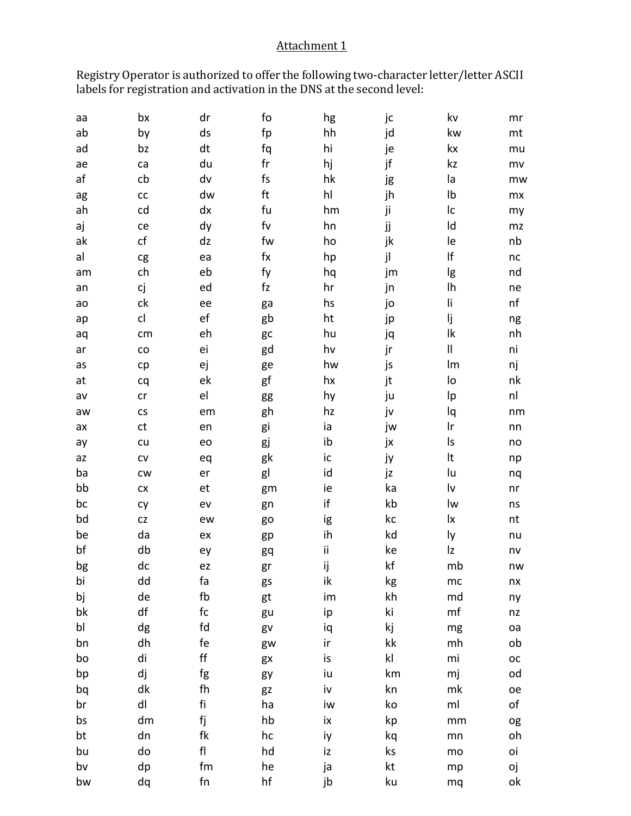## Attachment 1

Registry Operator is authorized to offer the following two-character letter/letter ASCII labels for registration and activation in the DNS at the second level:

| аа | bx                   | dr            | fo                     | hg | jc            | kv            | mr          |
|----|----------------------|---------------|------------------------|----|---------------|---------------|-------------|
| ab | by                   | ds            | fp                     | hh | jd            | kw            | mt          |
| ad | bz                   | dt            | fq                     | hi | je            | kx            | mu          |
| ae | ca                   | du            | $\sf fr$               | hj | jf            | kz            | mv          |
| af | cb                   | dv            | fs                     | hk | jg            | la            | mw          |
| ag | ${\sf CC}$           | dw            | ft                     | hl | jh            | Ib            | mx          |
| ah | cd                   | dx            | fu                     | hm | ji            | Ic            | my          |
| aj | ce                   | dy            | fv                     | hn | jj            | ld            | mz          |
| ak | cf                   | dz            | fw                     | ho | jk            | le            | nb          |
| al | cg                   | ea            | $f_{\mathsf{X}}$       | hp | jl            | $\sf l\sf f$  | nc          |
| am | ch                   | eb            | fy                     | hq | jm            | lg            | nd          |
| an | сj                   | ed            | $\mathsf{f}\mathsf{z}$ | hr | jn            | Ih            | ne          |
| ao | ck                   | ee            | ga                     | hs | jo            | li            | nf          |
| ap | cl                   | ef            | gb                     | ht | jp            | lj            | ng          |
| aq | cm                   | eh            | gc                     | hu | jq            | $\mathsf{lk}$ | nh          |
| ar | ${\rm CO}$           | ei            | gd                     | hv | jr            | $\sf II$      | ni          |
| as | cp                   | ej            | ge                     | hw | js            | lm            | nj          |
| at | cq                   | ek            | gf                     | hx | jt            | lo            | nk          |
| av | cr                   | el            | gg                     | hy | ju            | Ιp            | nl          |
| aw | $\mathsf{CS}\xspace$ | em            | gh                     | hz | jv            | lq            | nm          |
| ax | ct                   | en            | gi                     | ia | jw            | Ir            | nn          |
| ay | cu                   | eo            | gj                     | ib | jx            | Is            | no          |
| az | ${\sf CV}$           | eq            | gk                     | ic | ју            | It            | np          |
| ba | cw                   | er            | gl                     | id | jz            | lu            | nq          |
| bb | ${\sf C} {\sf X}$    | et            | gm                     | ie | ka            | lv            | nr          |
| bc | cy                   | ev            | gn                     | if | kb            | lw            | ns          |
| bd | CZ                   | ew            | go                     | ig | kc            | lx            | nt          |
| be | da                   | ex            | gp                     | ih | kd            | ly            | nu          |
| bf | db                   | ey            | gq                     | ij | ke            | Iz            | nv          |
| bg | dc                   | ez            | gr                     | ij | kf            | mb            | nw          |
| bi | dd                   | fa            | gs                     | ik | kg            | mc            | nx          |
| bj | de                   | fb            | gt                     | im | kh            | md            | ny          |
| bk | df                   | fc            | gu                     | ip | ki            | mf            | nz          |
| bl | dg                   | fd            | gv                     | iq | kj            | mg            | oa          |
| bn | dh                   | fe            | gw                     | ir | kk            | mh            | ob          |
| bo | di                   | $\mathsf{ff}$ | gx                     | is | $\mathsf{kl}$ | mi            | $_{\rm OC}$ |
| bp | dj                   | fg            | gy                     | iu | km            | mj            | od          |
| bq | dk                   | fh            | gz                     | iv | kn            | mk            | oe          |
| br | dl                   | fi            | ha                     | iw | ko            | ml            | of          |
| bs | dm                   | fj            | hb                     | ix | kp            | mm            | og          |
| bt | dn                   | fk            | hc                     | iy | kq            | mn            | oh          |
| bu | do                   | f             | hd                     | iz | ks            | mo            | oi          |
| bv | dp                   | fm            | he                     | ja | kt            | mp            | оj          |
| bw | dq                   | ${\sf fn}$    | hf                     | jb | ku            | mq            | оk          |